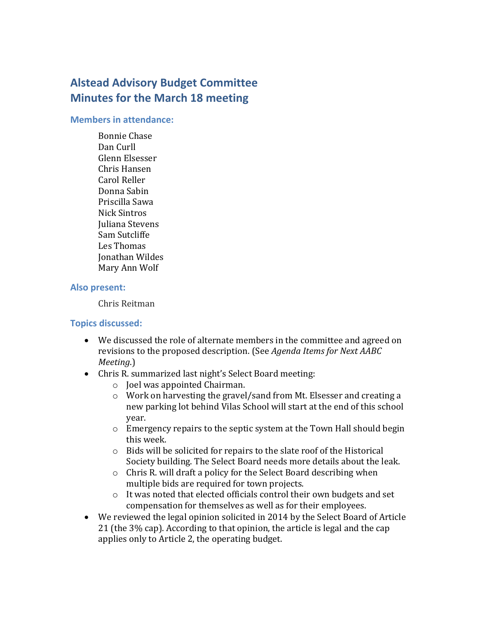# **Alstead Advisory Budget Committee Minutes for the March 18 meeting**

#### **Members in attendance:**

Bonnie Chase Dan Curll Glenn Elsesser Chris Hansen Carol Reller Donna Sabin Priscilla Sawa Nick Sintros Juliana Stevens Sam Sutcliffe Les Thomas Jonathan Wildes Mary Ann Wolf

#### **Also present:**

Chris Reitman

#### **Topics discussed:**

- We discussed the role of alternate members in the committee and agreed on revisions to the proposed description. (See *Agenda Items for Next AABC Meeting*.)
- Chris R. summarized last night's Select Board meeting:
	- o Joel was appointed Chairman.
	- o Work on harvesting the gravel/sand from Mt. Elsesser and creating a new parking lot behind Vilas School will start at the end of this school year.
	- o Emergency repairs to the septic system at the Town Hall should begin this week.
	- o Bids will be solicited for repairs to the slate roof of the Historical Society building. The Select Board needs more details about the leak.
	- o Chris R. will draft a policy for the Select Board describing when multiple bids are required for town projects.
	- o It was noted that elected officials control their own budgets and set compensation for themselves as well as for their employees.
- We reviewed the legal opinion solicited in 2014 by the Select Board of Article 21 (the 3% cap). According to that opinion, the article is legal and the cap applies only to Article 2, the operating budget.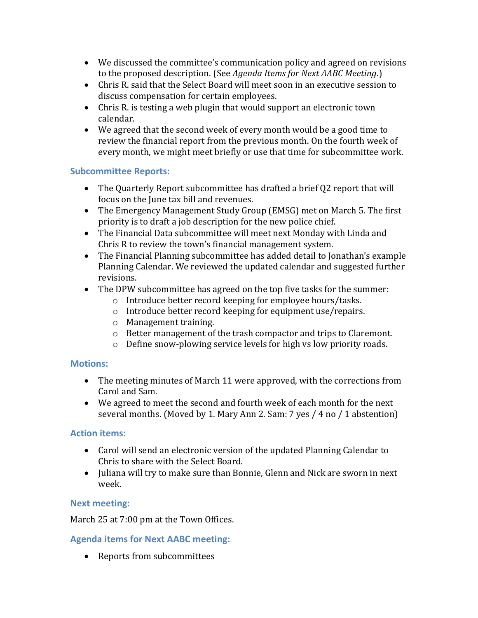- We discussed the committee's communication policy and agreed on revisions to the proposed description. (See *Agenda Items for Next AABC Meeting*.)
- Chris R. said that the Select Board will meet soon in an executive session to discuss compensation for certain employees.
- Chris R. is testing a web plugin that would support an electronic town calendar.
- We agreed that the second week of every month would be a good time to review the financial report from the previous month. On the fourth week of every month, we might meet briefly or use that time for subcommittee work.

### **Subcommittee Reports:**

- The Quarterly Report subcommittee has drafted a brief Q2 report that will focus on the June tax bill and revenues.
- The Emergency Management Study Group (EMSG) met on March 5. The first priority is to draft a job description for the new police chief.
- The Financial Data subcommittee will meet next Monday with Linda and Chris R to review the town's financial management system.
- The Financial Planning subcommittee has added detail to Jonathan's example Planning Calendar. We reviewed the updated calendar and suggested further revisions.
- The DPW subcommittee has agreed on the top five tasks for the summer:
	- o Introduce better record keeping for employee hours/tasks.
	- o Introduce better record keeping for equipment use/repairs.
	- o Management training.
	- o Better management of the trash compactor and trips to Claremont.
	- o Define snow-plowing service levels for high vs low priority roads.

#### **Motions:**

- The meeting minutes of March 11 were approved, with the corrections from Carol and Sam.
- We agreed to meet the second and fourth week of each month for the next several months. (Moved by 1. Mary Ann 2. Sam: 7 yes / 4 no / 1 abstention)

#### **Action items:**

- Carol will send an electronic version of the updated Planning Calendar to Chris to share with the Select Board.
- Juliana will try to make sure than Bonnie, Glenn and Nick are sworn in next week.

#### **Next meeting:**

March 25 at 7:00 pm at the Town Offices.

## **Agenda items for Next AABC meeting:**

Reports from subcommittees